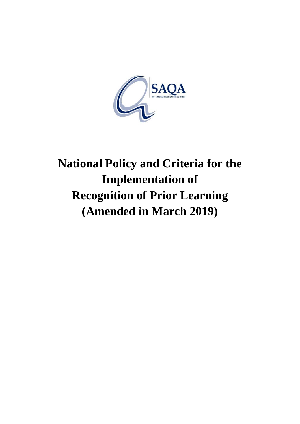

# **National Policy and Criteria for the Implementation of Recognition of Prior Learning (Amended in March 2019)**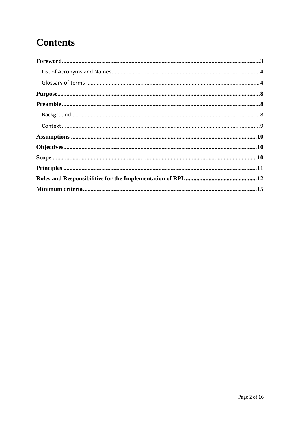## **Contents**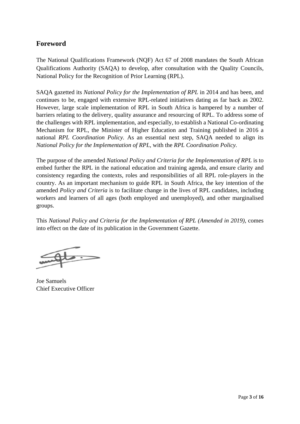#### **Foreword**

The National Qualifications Framework (NQF) Act 67 of 2008 mandates the South African Qualifications Authority (SAQA) to develop, after consultation with the Quality Councils, National Policy for the Recognition of Prior Learning (RPL).

SAQA gazetted its *National Policy for the Implementation of RPL* in 2014 and has been, and continues to be, engaged with extensive RPL-related initiatives dating as far back as 2002. However, large scale implementation of RPL in South Africa is hampered by a number of barriers relating to the delivery, quality assurance and resourcing of RPL. To address some of the challenges with RPL implementation, and especially, to establish a National Co-ordinating Mechanism for RPL, the Minister of Higher Education and Training published in 2016 a national *RPL Coordination Policy.* As an essential next step, SAQA needed to align its *National Policy for the Implementation of RPL,* with the *RPL Coordination Policy.* 

The purpose of the amended *National Policy and Criteria for the Implementation of RPL* is to embed further the RPL in the national education and training agenda, and ensure clarity and consistency regarding the contexts, roles and responsibilities of all RPL role-players in the country. As an important mechanism to guide RPL in South Africa, the key intention of the amended *Policy and Criteria* is to facilitate change in the lives of RPL candidates, including workers and learners of all ages (both employed and unemployed), and other marginalised groups.

This *National Policy and Criteria for the Implementation of RPL (Amended in 2019),* comes into effect on the date of its publication in the Government Gazette.

Joe Samuels Chief Executive Officer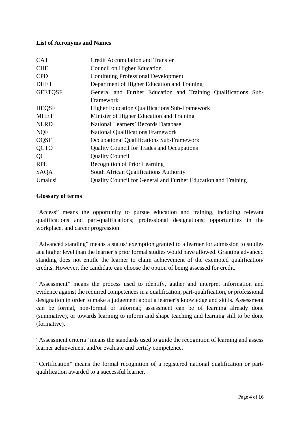#### **List of Acronyms and Names**

| <b>CAT</b>     | <b>Credit Accumulation and Transfer</b>                        |
|----------------|----------------------------------------------------------------|
| <b>CHE</b>     | Council on Higher Education                                    |
| <b>CPD</b>     | <b>Continuing Professional Development</b>                     |
| <b>DHET</b>    | Department of Higher Education and Training                    |
| <b>GFETOSF</b> | General and Further Education and Training Qualifications Sub- |
|                | Framework                                                      |
| <b>HEQSF</b>   | <b>Higher Education Qualifications Sub-Framework</b>           |
| <b>MHET</b>    | Minister of Higher Education and Training                      |
| <b>NLRD</b>    | National Learners' Records Database                            |
| <b>NQF</b>     | <b>National Qualifications Framework</b>                       |
| <b>OQSF</b>    | <b>Occupational Qualifications Sub-Framework</b>               |
| <b>QCTO</b>    | <b>Quality Council for Trades and Occupations</b>              |
| QC             | <b>Quality Council</b>                                         |
| <b>RPL</b>     | <b>Recognition of Prior Learning</b>                           |
| SAQA           | South African Qualifications Authority                         |
| Umalusi        | Quality Council for General and Further Education and Training |

#### **Glossary of terms**

"Access" means the opportunity to pursue education and training, including relevant qualifications and part-qualifications; professional designations; opportunities in the workplace, and career progression.

"Advanced standing" means a status/ exemption granted to a learner for admission to studies at a higher level than the learner's prior formal studies would have allowed. Granting advanced standing does not entitle the learner to claim achievement of the exempted qualification/ credits. However, the candidate can choose the option of being assessed for credit.

"Assessment" means the process used to identify, gather and interpret information and evidence against the required competences in a qualification, part-qualification, or professional designation in order to make a judgement about a learner's knowledge and skills. Assessment can be formal, non-formal or informal; assessment can be of learning already done (summative), or towards learning to inform and shape teaching and learning still to be done (formative).

"Assessment criteria" means the standards used to guide the recognition of learning and assess learner achievement and/or evaluate and certify competence.

"Certification" means the formal recognition of a registered national qualification or partqualification awarded to a successful learner.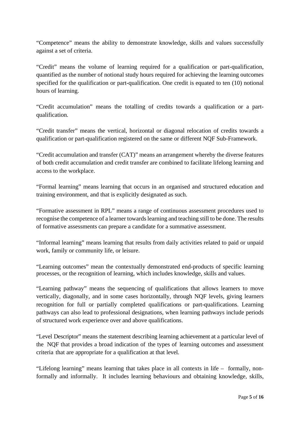"Competence" means the ability to demonstrate knowledge, skills and values successfully against a set of criteria.

"Credit" means the volume of learning required for a qualification or part-qualification, quantified as the number of notional study hours required for achieving the learning outcomes specified for the qualification or part-qualification. One credit is equated to ten (10) notional hours of learning.

"Credit accumulation" means the totalling of credits towards a qualification or a partqualification.

"Credit transfer" means the vertical, horizontal or diagonal relocation of credits towards a qualification or part-qualification registered on the same or different NQF Sub-Framework.

"Credit accumulation and transfer (CAT)" means an arrangement whereby the diverse features of both credit accumulation and credit transfer are combined to facilitate lifelong learning and access to the workplace.

"Formal learning" means learning that occurs in an organised and structured education and training environment, and that is explicitly designated as such.

"Formative assessment in RPL" means a range of continuous assessment procedures used to recognise the competence of a learner towards learning and teaching still to be done. The results of formative assessments can prepare a candidate for a summative assessment.

"Informal learning" means learning that results from daily activities related to paid or unpaid work, family or community life, or leisure.

"Learning outcomes" mean the contextually demonstrated end-products of specific learning processes, or the recognition of learning, which includes knowledge, skills and values.

"Learning pathway" means the sequencing of qualifications that allows learners to move vertically, diagonally, and in some cases horizontally, through NQF levels, giving learners recognition for full or partially completed qualifications or part-qualifications. Learning pathways can also lead to professional designations, when learning pathways include periods of structured work experience over and above qualifications.

"Level Descriptor" means the statement describing learning achievement at a particular level of the NQF that provides a broad indication of the types of learning outcomes and assessment criteria that are appropriate for a qualification at that level.

"Lifelong learning" means learning that takes place in all contexts in life – formally, nonformally and informally. It includes learning behaviours and obtaining knowledge, skills,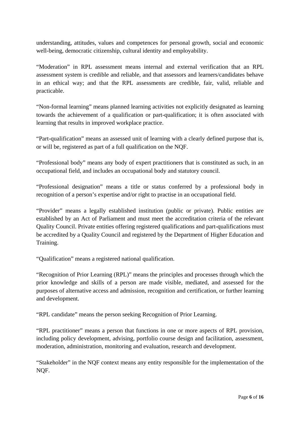understanding, attitudes, values and competences for personal growth, social and economic well-being, democratic citizenship, cultural identity and employability.

"Moderation" in RPL assessment means internal and external verification that an RPL assessment system is credible and reliable, and that assessors and learners/candidates behave in an ethical way; and that the RPL assessments are credible, fair, valid, reliable and practicable.

"Non-formal learning" means planned learning activities not explicitly designated as learning towards the achievement of a qualification or part-qualification; it is often associated with learning that results in improved workplace practice.

"Part-qualification" means an assessed unit of learning with a clearly defined purpose that is, or will be, registered as part of a full qualification on the NQF.

"Professional body" means any body of expert practitioners that is constituted as such, in an occupational field, and includes an occupational body and statutory council.

"Professional designation" means a title or status conferred by a professional body in recognition of a person's expertise and/or right to practise in an occupational field.

"Provider" means a legally established institution (public or private). Public entities are established by an Act of Parliament and must meet the accreditation criteria of the relevant Quality Council. Private entities offering registered qualifications and part-qualifications must be accredited by a Quality Council and registered by the Department of Higher Education and Training.

"Qualification" means a registered national qualification.

"Recognition of Prior Learning (RPL)" means the principles and processes through which the prior knowledge and skills of a person are made visible, mediated, and assessed for the purposes of alternative access and admission, recognition and certification, or further learning and development.

"RPL candidate" means the person seeking Recognition of Prior Learning.

"RPL practitioner" means a person that functions in one or more aspects of RPL provision, including policy development, advising, portfolio course design and facilitation, assessment, moderation, administration, monitoring and evaluation, research and development.

"Stakeholder" in the NQF context means any entity responsible for the implementation of the NQF.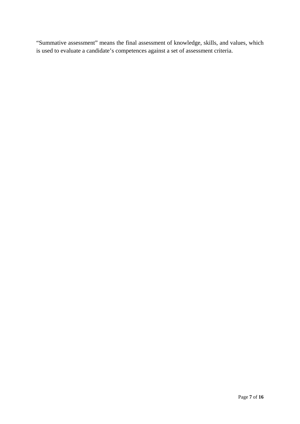"Summative assessment" means the final assessment of knowledge, skills, and values, which is used to evaluate a candidate's competences against a set of assessment criteria.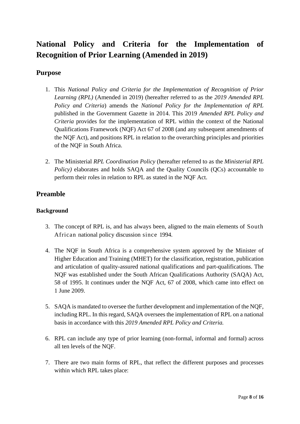### **National Policy and Criteria for the Implementation of Recognition of Prior Learning (Amended in 2019)**

#### **Purpose**

- 1. This *National Policy and Criteria for the Implementation of Recognition of Prior Learning (RPL)* (Amended in 2019) (hereafter referred to as the *2019 Amended RPL Policy and Criteria*) amends the *National Policy for the Implementation of RPL*  published in the Government Gazette in 2014. This 2019 *Amended RPL Policy and Criteria* provides for the implementation of RPL within the context of the National Qualifications Framework (NQF) Act 67 of 2008 (and any subsequent amendments of the NQF Act), and positions RPL in relation to the overarching principles and priorities of the NQF in South Africa.
- 2. The Ministerial *RPL Coordination Policy* (hereafter referred to as the *Ministerial RPL Policy*) elaborates and holds SAQA and the Quality Councils (OCs) accountable to perform their roles in relation to RPL as stated in the NQF Act.

#### **Preamble**

#### **Background**

- 3. The concept of RPL is, and has always been, aligned to the main elements of South African national policy discussion since 1994.
- 4. The NQF in South Africa is a comprehensive system approved by the Minister of Higher Education and Training (MHET) for the classification, registration, publication and articulation of quality-assured national qualifications and part-qualifications. The NQF was established under the South African Qualifications Authority (SAQA) Act, 58 of 1995. It continues under the NQF Act, 67 of 2008, which came into effect on 1 June 2009.
- 5. SAQA is mandated to oversee the further development and implementation of the NQF, including RPL. In this regard, SAQA oversees the implementation of RPL on a national basis in accordance with this *2019 Amended RPL Policy and Criteria.*
- 6. RPL can include any type of prior learning (non-formal, informal and formal) across all ten levels of the NQF.
- 7. There are two main forms of RPL, that reflect the different purposes and processes within which RPL takes place: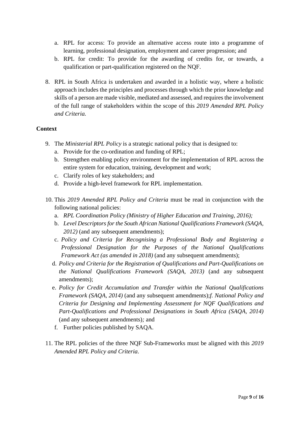- a. RPL for access: To provide an alternative access route into a programme of learning, professional designation, employment and career progression; and
- b. RPL for credit: To provide for the awarding of credits for, or towards, a qualification or part-qualification registered on the NQF.
- 8. RPL in South Africa is undertaken and awarded in a holistic way, where a holistic approach includes the principles and processes through which the prior knowledge and skills of a person are made visible, mediated and assessed, and requires the involvement of the full range of stakeholders within the scope of this *2019 Amended RPL Policy and Criteria.*

#### **Context**

- 9. The *Ministerial RPL Policy* is a strategic national policy that is designed to:
	- a. Provide for the co-ordination and funding of RPL;
	- b. Strengthen enabling policy environment for the implementation of RPL across the entire system for education, training, development and work;
	- c. Clarify roles of key stakeholders; and
	- d. Provide a high-level framework for RPL implementation.
- 10. This *2019 Amended RPL Policy and Criteria* must be read in conjunction with the following national policies:
	- a. *RPL Coordination Policy (Ministry of Higher Education and Training, 2016);*
	- b. *Level Descriptors for the South African National Qualifications Framework (SAQA, 2012)* (and any subsequent amendments);
	- c. *Policy and Criteria for Recognising a Professional Body and Registering a Professional Designation for the Purposes of the National Qualifications Framework Act (as amended in 2018)* (and any subsequent amendments);
	- d. *Policy and Criteria for the Registration of Qualifications and Part-Qualifications on the National Qualifications Framework (SAQA, 2013)* (and any subsequent amendments);
	- e. *Policy for Credit Accumulation and Transfer within the National Qualifications Framework (SAQA, 2014)* (and any subsequent amendments);*f. National Policy and Criteria for Designing and Implementing Assessment for NQF Qualifications and Part-Qualifications and Professional Designations in South Africa (SAQA, 2014)*  (and any subsequent amendments)*;* and
	- f. Further policies published by SAQA.
- 11. The RPL policies of the three NQF Sub-Frameworks must be aligned with this *2019 Amended RPL Policy and Criteria*.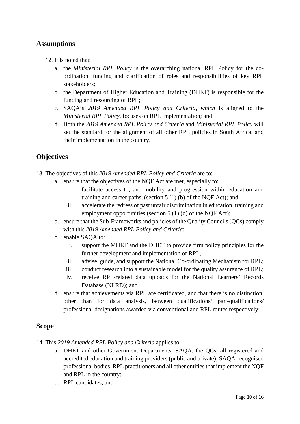#### **Assumptions**

- 12. It is noted that:
	- a. the *Ministerial RPL Policy* is the overarching national RPL Policy for the coordination, funding and clarification of roles and responsibilities of key RPL stakeholders;
	- b. the Department of Higher Education and Training (DHET) is responsible for the funding and resourcing of RPL;
	- c. SAQA's *2019 Amended RPL Policy and Criteria, which* is aligned to the *Ministerial RPL Policy,* focuses on RPL implementation; and
	- d. Both the *2019 Amended RPL Policy and Criteria* and *Ministerial RPL Policy* will set the standard for the alignment of all other RPL policies in South Africa, and their implementation in the country.

#### **Objectives**

- 13. The objectives of this *2019 Amended RPL Policy and Criteria* are to:
	- a. ensure that the objectives of the NQF Act are met, especially to:
		- i. facilitate access to, and mobility and progression within education and training and career paths, (section 5 (1) (b) of the NQF Act); and
		- ii. accelerate the redress of past unfair discrimination in education, training and employment opportunities (section 5 (1) (d) of the NQF Act);
	- b. ensure that the Sub-Frameworks and policies of the Quality Councils (QCs) comply with this *2019 Amended RPL Policy and Criteria*;
	- c. enable SAQA to:
		- i. support the MHET and the DHET to provide firm policy principles for the further development and implementation of RPL;
		- ii. advise, guide, and support the National Co-ordinating Mechanism for RPL;
		- iii. conduct research into a sustainable model for the quality assurance of RPL;
		- iv. receive RPL-related data uploads for the National Learners' Records Database (NLRD); and
	- d. ensure that achievements via RPL are certificated, and that there is no distinction, other than for data analysis, between qualifications/ part-qualifications/ professional designations awarded via conventional and RPL routes respectively;

#### **Scope**

14. This *2019 Amended RPL Policy and Criteria* applies to:

- a. DHET and other Government Departments, SAQA, the QCs, all registered and accredited education and training providers (public and private), SAQA-recognised professional bodies, RPL practitioners and all other entities that implement the NQF and RPL in the country;
- b. RPL candidates; and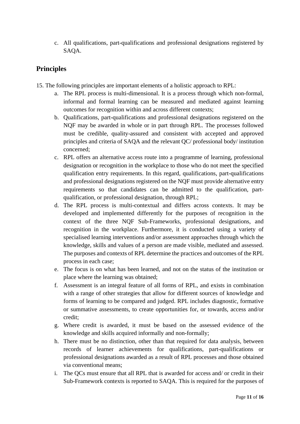c. All qualifications, part-qualifications and professional designations registered by SAQA.

#### **Principles**

- 15. The following principles are important elements of a holistic approach to RPL:
	- a. The RPL process is multi-dimensional. It is a process through which non-formal, informal and formal learning can be measured and mediated against learning outcomes for recognition within and across different contexts;
	- b. Qualifications, part-qualifications and professional designations registered on the NQF may be awarded in whole or in part through RPL. The processes followed must be credible, quality-assured and consistent with accepted and approved principles and criteria of SAQA and the relevant QC/ professional body/ institution concerned;
	- c. RPL offers an alternative access route into a programme of learning, professional designation or recognition in the workplace to those who do not meet the specified qualification entry requirements. In this regard, qualifications, part-qualifications and professional designations registered on the NQF must provide alternative entry requirements so that candidates can be admitted to the qualification, partqualification, or professional designation, through RPL;
	- d. The RPL process is multi-contextual and differs across contexts. It may be developed and implemented differently for the purposes of recognition in the context of the three NQF Sub-Frameworks, professional designations, and recognition in the workplace. Furthermore, it is conducted using a variety of specialised learning interventions and/or assessment approaches through which the knowledge, skills and values of a person are made visible, mediated and assessed. The purposes and contexts of RPL determine the practices and outcomes of the RPL process in each case;
	- e. The focus is on what has been learned, and not on the status of the institution or place where the learning was obtained;
	- f. Assessment is an integral feature of all forms of RPL, and exists in combination with a range of other strategies that allow for different sources of knowledge and forms of learning to be compared and judged. RPL includes diagnostic, formative or summative assessments, to create opportunities for, or towards, access and/or credit;
	- g. Where credit is awarded, it must be based on the assessed evidence of the knowledge and skills acquired informally and non-formally;
	- h. There must be no distinction, other than that required for data analysis, between records of learner achievements for qualifications, part-qualifications or professional designations awarded as a result of RPL processes and those obtained via conventional means;
	- i. The QCs must ensure that all RPL that is awarded for access and/ or credit in their Sub-Framework contexts is reported to SAQA. This is required for the purposes of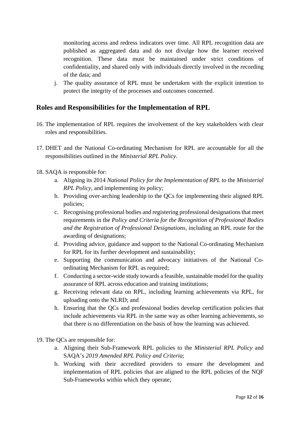monitoring access and redress indicators over time. All RPL recognition data are published as aggregated data and do not divulge how the learner received recognition. These data must be maintained under strict conditions of confidentiality, and shared only with individuals directly involved in the recording of the data; and

j. The quality assurance of RPL must be undertaken with the explicit intention to protect the integrity of the processes and outcomes concerned.

#### **Roles and Responsibilities for the Implementation of RPL**

- 16. The implementation of RPL requires the involvement of the key stakeholders with clear roles and responsibilities.
- 17. DHET and the National Co-ordinating Mechanism for RPL are accountable for all the responsibilities outlined in the *Ministerial RPL Policy*.
- 18. SAQA is responsible for:
	- a. Aligning its 2014 *National Policy for the Implementation of RPL* to the *Ministerial RPL Policy*, and implementing its policy;
	- b. Providing over-arching leadership to the QCs for implementing their aligned RPL policies;
	- c. Recognising professional bodies and registering professional designations that meet requirements in the *Policy and Criteria for the Recognition of Professional Bodies and the Registration of Professional Designations*, including an RPL route for the awarding of designations;
	- d. Providing advice, guidance and support to the National Co-ordinating Mechanism for RPL for its further development and sustainability;
	- e. Supporting the communication and advocacy initiatives of the National Coordinating Mechanism for RPL as required;
	- f. Conducting a sector-wide study towards a feasible, sustainable model for the quality assurance of RPL across education and training institutions;
	- g. Receiving relevant data on RPL, including learning achievements via RPL, for uploading onto the NLRD; and
	- h. Ensuring that the QCs and professional bodies develop certification policies that include achievements via RPL in the same way as other learning achievements, so that there is no differentiation on the basis of how the learning was achieved.
- 19. The QCs are responsible for:
	- a. Aligning their Sub-Framework RPL policies to the *Ministerial RPL Policy* and SAQA's *2019 Amended RPL Policy and Criteria*;
	- b. Working with their accredited providers to ensure the development and implementation of RPL policies that are aligned to the RPL policies of the NQF Sub-Frameworks within which they operate;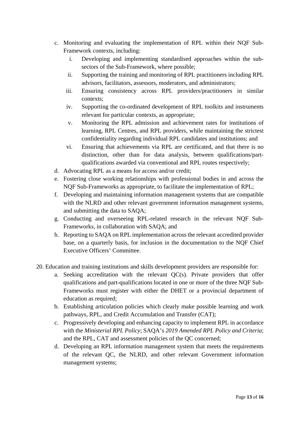- c. Monitoring and evaluating the implementation of RPL within their NQF Sub-Framework contexts, including:
	- i. Developing and implementing standardised approaches within the subsectors of the Sub-Framework, where possible;
	- ii. Supporting the training and monitoring of RPL practitioners including RPL advisors, facilitators, assessors, moderators, and administrators;
	- iii. Ensuring consistency across RPL providers/practitioners in similar contexts;
	- iv. Supporting the co-ordinated development of RPL toolkits and instruments relevant for particular contexts, as appropriate;
	- v. Monitoring the RPL admission and achievement rates for institutions of learning, RPL Centres, and RPL providers, while maintaining the strictest confidentiality regarding individual RPL candidates and institutions; and
	- vi. Ensuring that achievements via RPL are certificated, and that there is no distinction, other than for data analysis, between qualifications/partqualifications awarded via conventional and RPL routes respectively;
- d. Advocating RPL as a means for access and/or credit;
- e. Fostering close working relationships with professional bodies in and across the NQF Sub-Frameworks as appropriate, to facilitate the implementation of RPL;
- f. Developing and maintaining information management systems that are compatible with the NLRD and other relevant government information management systems, and submitting the data to SAQA;
- g. Conducting and overseeing RPL-related research in the relevant NQF Sub-Frameworks, in collaboration with SAQA; and
- h. Reporting to SAQA on RPL implementation across the relevant accredited provider base, on a quarterly basis, for inclusion in the documentation to the NQF Chief Executive Officers' Committee.
- 20. Education and training institutions and skills development providers are responsible for:
	- a. Seeking accreditation with the relevant QC(s). Private providers that offer qualifications and part-qualifications located in one or more of the three NQF Sub-Frameworks must register with either the DHET or a provincial department of education as required;
	- b. Establishing articulation policies which clearly make possible learning and work pathways, RPL, and Credit Accumulation and Transfer (CAT);
	- c. Progressively developing and enhancing capacity to implement RPL in accordance with the *Ministerial RPL Policy*; SAQA's *2019 Amended RPL Policy and Criteria*; and the RPL, CAT and assessment policies of the QC concerned;
	- d. Developing an RPL information management system that meets the requirements of the relevant QC, the NLRD, and other relevant Government information management systems;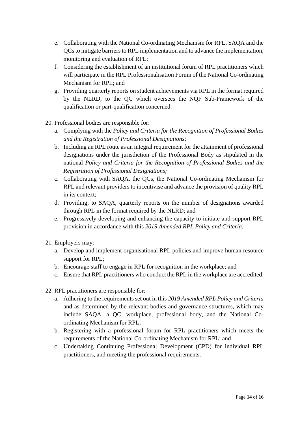- e. Collaborating with the National Co-ordinating Mechanism for RPL, SAQA and the QCs to mitigate barriers to RPL implementation and to advance the implementation, monitoring and evaluation of RPL;
- f. Considering the establishment of an institutional forum of RPL practitioners which will participate in the RPL Professionalisation Forum of the National Co-ordinating Mechanism for RPL; and
- g. Providing quarterly reports on student achievements via RPL in the format required by the NLRD, to the QC which oversees the NQF Sub-Framework of the qualification or part-qualification concerned.
- 20. Professional bodies are responsible for:
	- a. Complying with the *Policy and Criteria for the Recognition of Professional Bodies and the Registration of Professional Designations;*
	- b. Including an RPL route as an integral requirement for the attainment of professional designations under the jurisdiction of the Professional Body as stipulated in the national *Policy and Criteria for the Recognition of Professional Bodies and the Registration of Professional Designations;*
	- c. Collaborating with SAQA, the QCs, the National Co-ordinating Mechanism for RPL and relevant providers to incentivise and advance the provision of quality RPL in its context;
	- d. Providing, to SAQA, quarterly reports on the number of designations awarded through RPL in the format required by the NLRD; and
	- e. Progressively developing and enhancing the capacity to initiate and support RPL provision in accordance with this *2019 Amended RPL Policy and Criteria*.
- 21. Employers may:
	- a. Develop and implement organisational RPL policies and improve human resource support for RPL;
	- b. Encourage staff to engage in RPL for recognition in the workplace; and
	- c. Ensure that RPL practitioners who conduct the RPL in the workplace are accredited.
- 22. RPL practitioners are responsible for:
	- a. Adhering to the requirements set out in this *2019 Amended RPL Policy and Criteria* and as determined by the relevant bodies and governance structures, which may include SAQA, a QC, workplace, professional body, and the National Coordinating Mechanism for RPL;
	- b. Registering with a professional forum for RPL practitioners which meets the requirements of the National Co-ordinating Mechanism for RPL; and
	- c. Undertaking Continuing Professional Development (CPD) for individual RPL practitioners, and meeting the professional requirements.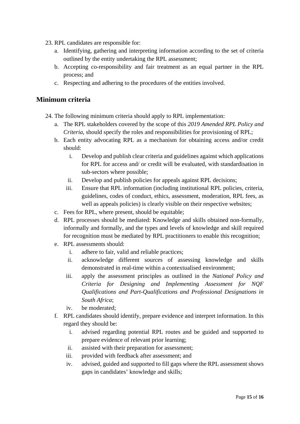- 23. RPL candidates are responsible for:
	- a. Identifying, gathering and interpreting information according to the set of criteria outlined by the entity undertaking the RPL assessment;
	- b. Accepting co-responsibility and fair treatment as an equal partner in the RPL process; and
	- c. Respecting and adhering to the procedures of the entities involved.

#### **Minimum criteria**

- 24. The following minimum criteria should apply to RPL implementation:
	- a. The RPL stakeholders covered by the scope of this *2019 Amended RPL Policy and Criteria,* should specify the roles and responsibilities for provisioning of RPL;
	- b. Each entity advocating RPL as a mechanism for obtaining access and/or credit should:
		- i. Develop and publish clear criteria and guidelines against which applications for RPL for access and/ or credit will be evaluated, with standardisation in sub-sectors where possible;
		- ii. Develop and publish policies for appeals against RPL decisions;
		- iii. Ensure that RPL information (including institutional RPL policies, criteria, guidelines, codes of conduct, ethics, assessment, moderation, RPL fees, as well as appeals policies) is clearly visible on their respective websites;
	- c. Fees for RPL, where present, should be equitable;
	- d. RPL processes should be mediated: Knowledge and skills obtained non-formally, informally and formally, and the types and levels of knowledge and skill required for recognition must be mediated by RPL practitioners to enable this recognition;
	- e. RPL assessments should:
		- i. adhere to fair, valid and reliable practices;
		- ii. acknowledge different sources of assessing knowledge and skills demonstrated in real-time within a contextualised environment;
		- iii. apply the assessment principles as outlined in the *National Policy and Criteria for Designing and Implementing Assessment for NQF Qualifications and Part-Qualifications and Professional Designations in South Africa*;
		- iv. be moderated;
	- f. RPL candidates should identify, prepare evidence and interpret information. In this regard they should be:
		- i. advised regarding potential RPL routes and be guided and supported to prepare evidence of relevant prior learning;
		- ii. assisted with their preparation for assessment;
		- iii. provided with feedback after assessment; and
		- iv. advised, guided and supported to fill gaps where the RPL assessment shows gaps in candidates' knowledge and skills;